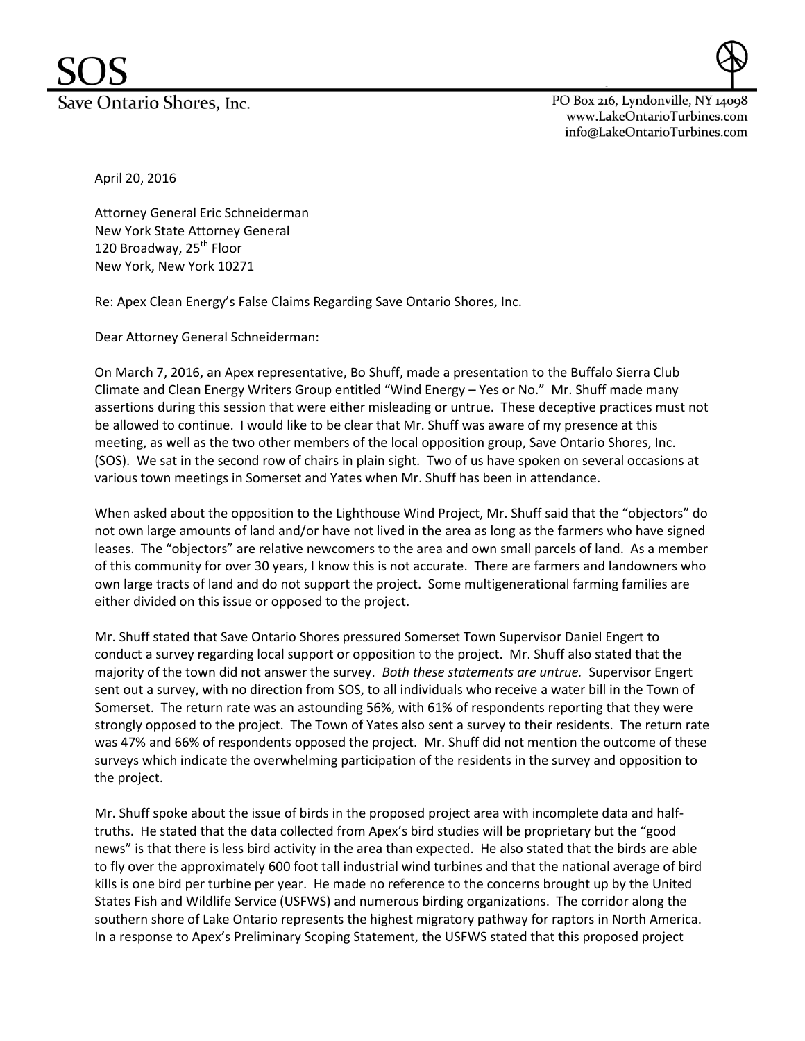PO Box 216, Lyndonville, NY 14098 www.LakeOntarioTurbines.com info@LakeOntarioTurbines.com

April 20, 2016

Attorney General Eric Schneiderman New York State Attorney General 120 Broadway, 25<sup>th</sup> Floor New York, New York 10271

Re: Apex Clean Energy's False Claims Regarding Save Ontario Shores, Inc.

Dear Attorney General Schneiderman:

On March 7, 2016, an Apex representative, Bo Shuff, made a presentation to the Buffalo Sierra Club Climate and Clean Energy Writers Group entitled "Wind Energy – Yes or No." Mr. Shuff made many assertions during this session that were either misleading or untrue. These deceptive practices must not be allowed to continue. I would like to be clear that Mr. Shuff was aware of my presence at this meeting, as well as the two other members of the local opposition group, Save Ontario Shores, Inc. (SOS). We sat in the second row of chairs in plain sight. Two of us have spoken on several occasions at various town meetings in Somerset and Yates when Mr. Shuff has been in attendance.

When asked about the opposition to the Lighthouse Wind Project, Mr. Shuff said that the "objectors" do not own large amounts of land and/or have not lived in the area as long as the farmers who have signed leases. The "objectors" are relative newcomers to the area and own small parcels of land. As a member of this community for over 30 years, I know this is not accurate. There are farmers and landowners who own large tracts of land and do not support the project. Some multigenerational farming families are either divided on this issue or opposed to the project.

Mr. Shuff stated that Save Ontario Shores pressured Somerset Town Supervisor Daniel Engert to conduct a survey regarding local support or opposition to the project. Mr. Shuff also stated that the majority of the town did not answer the survey. *Both these statements are untrue.* Supervisor Engert sent out a survey, with no direction from SOS, to all individuals who receive a water bill in the Town of Somerset. The return rate was an astounding 56%, with 61% of respondents reporting that they were strongly opposed to the project. The Town of Yates also sent a survey to their residents. The return rate was 47% and 66% of respondents opposed the project. Mr. Shuff did not mention the outcome of these surveys which indicate the overwhelming participation of the residents in the survey and opposition to the project.

Mr. Shuff spoke about the issue of birds in the proposed project area with incomplete data and halftruths. He stated that the data collected from Apex's bird studies will be proprietary but the "good news" is that there is less bird activity in the area than expected. He also stated that the birds are able to fly over the approximately 600 foot tall industrial wind turbines and that the national average of bird kills is one bird per turbine per year. He made no reference to the concerns brought up by the United States Fish and Wildlife Service (USFWS) and numerous birding organizations. The corridor along the southern shore of Lake Ontario represents the highest migratory pathway for raptors in North America. In a response to Apex's Preliminary Scoping Statement, the USFWS stated that this proposed project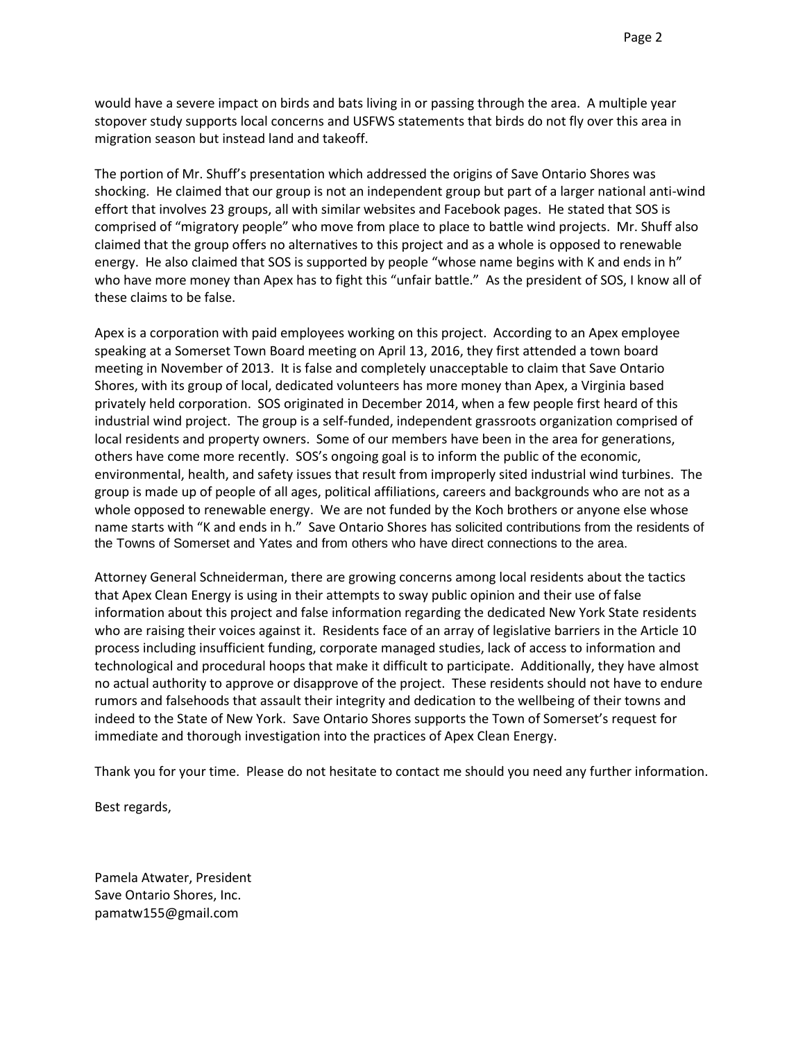would have a severe impact on birds and bats living in or passing through the area. A multiple year stopover study supports local concerns and USFWS statements that birds do not fly over this area in migration season but instead land and takeoff.

The portion of Mr. Shuff's presentation which addressed the origins of Save Ontario Shores was shocking. He claimed that our group is not an independent group but part of a larger national anti-wind effort that involves 23 groups, all with similar websites and Facebook pages. He stated that SOS is comprised of "migratory people" who move from place to place to battle wind projects. Mr. Shuff also claimed that the group offers no alternatives to this project and as a whole is opposed to renewable energy. He also claimed that SOS is supported by people "whose name begins with K and ends in h" who have more money than Apex has to fight this "unfair battle." As the president of SOS, I know all of these claims to be false.

Apex is a corporation with paid employees working on this project. According to an Apex employee speaking at a Somerset Town Board meeting on April 13, 2016, they first attended a town board meeting in November of 2013. It is false and completely unacceptable to claim that Save Ontario Shores, with its group of local, dedicated volunteers has more money than Apex, a Virginia based privately held corporation. SOS originated in December 2014, when a few people first heard of this industrial wind project. The group is a self-funded, independent grassroots organization comprised of local residents and property owners. Some of our members have been in the area for generations, others have come more recently. SOS's ongoing goal is to inform the public of the economic, environmental, health, and safety issues that result from improperly sited industrial wind turbines. The group is made up of people of all ages, political affiliations, careers and backgrounds who are not as a whole opposed to renewable energy. We are not funded by the Koch brothers or anyone else whose name starts with "K and ends in h." Save Ontario Shores has solicited contributions from the residents of the Towns of Somerset and Yates and from others who have direct connections to the area.

Attorney General Schneiderman, there are growing concerns among local residents about the tactics that Apex Clean Energy is using in their attempts to sway public opinion and their use of false information about this project and false information regarding the dedicated New York State residents who are raising their voices against it. Residents face of an array of legislative barriers in the Article 10 process including insufficient funding, corporate managed studies, lack of access to information and technological and procedural hoops that make it difficult to participate. Additionally, they have almost no actual authority to approve or disapprove of the project. These residents should not have to endure rumors and falsehoods that assault their integrity and dedication to the wellbeing of their towns and indeed to the State of New York. Save Ontario Shores supports the Town of Somerset's request for immediate and thorough investigation into the practices of Apex Clean Energy.

Thank you for your time. Please do not hesitate to contact me should you need any further information.

Best regards,

Pamela Atwater, President Save Ontario Shores, Inc. pamatw155@gmail.com